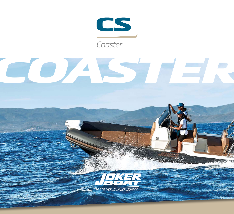

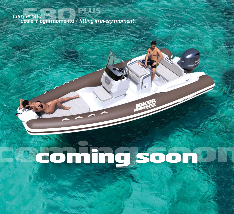*Coaster 580* 580*PLUS* PLUS **ideale in ogni momento /** *fitting in every moment*

12

# coming soone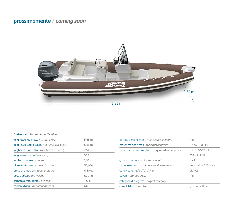# **prossimamente /** *coming soon*



# **Dati tecnici /** *Technical specification*

| lunghezza fuori tutto / length all out          | 5.85 m            |
|-------------------------------------------------|-------------------|
| lunghezza certificazione / certification length | 5.85 m            |
| larghezza fuori tutto / max beam (inflated)     | $2.54 \text{ m}$  |
| lunghezza interna / deck length                 | 5.12 m            |
| larghezza interna / beam                        | 1.38 <sub>m</sub> |
| diametro tubolari / <i>tubes diameter</i>       | 55/40 cm          |
| pressione tubolari / tubes pressure             | $0.30$ atm        |
| peso a secco / dry weight                       | 600 kg            |
| serbatojo carburante / fuel tank                | 110 lt.           |
| camere d'aria / air compartments                | n.6               |

| portata persone max / max people on board          | n 8                              |
|----------------------------------------------------|----------------------------------|
| motorizzazione max / max motor power               | 97 Kw (130 HP)                   |
| motorizzazione consigliata / suggested motor power | min. 1x40/70 HP<br>max. 1x130 HP |
| gambo motore / motor shaft length                  | $L \times 1$                     |
| materiale carena / hull construction material      | vetroresing / fiberglass         |
| auto-vuotante / self draining                      | si / yes                         |
| gavoni / storage areas                             | n.8                              |
| categoria di progetto / project category           | C                                |
| carrellabile / trailerable                         | gonfio / inflated                |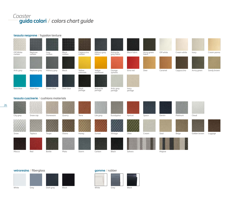# **guida colori /** *colors chart guide Coaster*

|                                         | tessuto neoprene / hypalon texture                             |                |                 |                      |                         |                          |                     |                      |           |             |              |             |
|-----------------------------------------|----------------------------------------------------------------|----------------|-----------------|----------------------|-------------------------|--------------------------|---------------------|----------------------|-----------|-------------|--------------|-------------|
|                                         | <b><i><u>PASSA</u></i></b><br><b>ANGELIA</b><br><b>CONTROL</b> |                |                 |                      |                         |                          |                     |                      |           |             |              |             |
| Off White<br>carbon                     | Neptune<br>carbon                                              | Grey<br>carbon | Black<br>carbon | Cappuccino<br>carbon | Military grey<br>fabric | Antracite<br>grey fabric | <b>Black fabric</b> | Army green<br>fabric | Off white | Cream white | Ivory        | Cream panna |
|                                         |                                                                |                |                 |                      |                         |                          |                     |                      |           |             |              |             |
| Artic grey                              | Neptune grey                                                   | Military grey  | Black           | Yellow<br>colorado   | Yellow<br>sunflower     | Orange<br>sylvano        | Etna red            | Deer                 | Caramel   | Cappuccino  | Army green   | Sandy brown |
| Ibiza blue                              | Alpin blue                                                     | Ocean blue     | Dark blue       | Black                | Antracite               |                          |                     |                      |           |             |              |             |
|                                         |                                                                |                |                 | perlage              | perlage                 | Artic grey<br>perlage    | Ivory<br>perlage    |                      |           |             |              |             |
| tessuto cuscinerie / cushions materials |                                                                |                |                 |                      |                         |                          |                     |                      |           |             |              |             |
|                                         |                                                                |                |                 |                      |                         |                          |                     |                      |           |             |              |             |
| City grey                               | Snow cap                                                       | Stoneware      | Quarry          | Terre                | Lite gray               | Eucalyptus               | Apricot             | Space                | Denim     | Platinum    | Cloud        |             |
| Snow                                    | Tapioca                                                        | Taupe          | Otono           | Honey                | Sunset                  | Vintage                  | Olive               | Cream                | Sisal     | Beige       | Golden brown | Luggage     |

Mocca

White

26



Black

Grey Dark grey

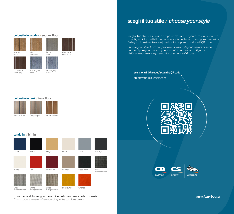# **scegli il tuo stile /** *choose your style*

**calpestio in seadek / seadek floor**



### **calpestio in teak / teak floor**

Black stripes Grey stripes White stripes

### **tendalini / bimini**



I colori dei tendalini vengono determinati in base al colore delle cuscinerie. *Bimini colors are determined accoding to the cushion's colors.*

Scegli il tuo stile tra le nostre proposte classico, elegante, casual o sportivo, o configura il tuo battello come tu lo vuoi con il nostro configuratore online. Collegati al nostro sito www.jokerboat.it oppure scansiona il QR code.

*Choose your style from our proposals classic, elegant, casual or sport, and configure your boat as you wish with our online configurator. Visit our website www.jokerboat.it or scan the QR code.*

## **scansiona il QR code / scan the QR code**

createyouruniqueness.com





*www.jokerboat.it*